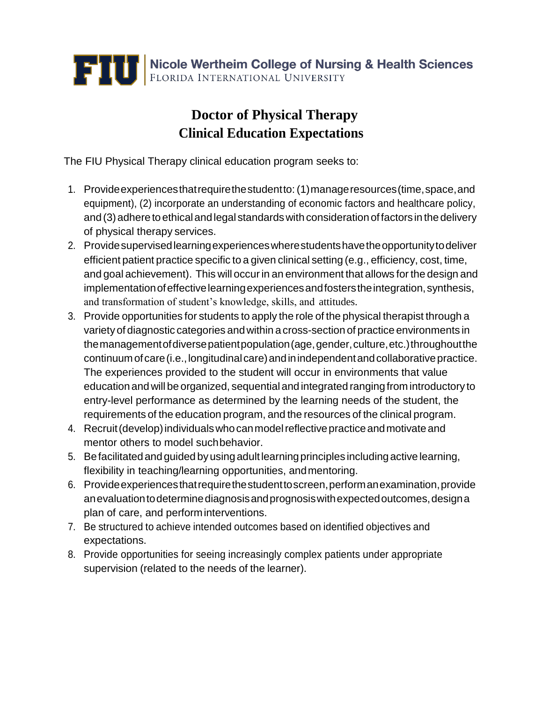

## **Doctor of Physical Therapy Clinical Education Expectations**

The FIU Physical Therapy clinical education program seeks to:

- 1. Provideexperiencesthatrequirethestudentto:(1)manageresources(time,space,and equipment), (2) incorporate an understanding of economic factors and healthcare policy, and (3) adhere to ethical and legal standards with consideration of factors in the delivery of physical therapy services.
- 2. Providesupervisedlearningexperienceswherestudentshavetheopportunitytodeliver efficient patient practice specific to a given clinical setting (e.g., efficiency, cost, time, and goal achievement). This will occurin an environment that allows for the design and implementation of effective learning experiences and fosters the integration, synthesis, and transformation of student's knowledge, skills, and attitudes.
- 3. Provide opportunities for students to apply the role of the physical therapist through a variety of diagnostic categories andwithin a cross-section of practice environments in themanagementofdiversepatientpopulation(age,gender,culture,etc.)throughoutthe continuum of care (i.e., longitudinal care) and in independent and collaborative practice. The experiences provided to the student will occur in environments that value educationandwill be organized, sequential and integrated rangingfrom introductory to entry-level performance as determined by the learning needs of the student, the requirements of the education program, and the resources of the clinical program.
- 4. Recruit (develop) individuals who can model reflective practice and motivate and mentor others to model suchbehavior.
- 5. Befacilitatedandguided byusingadultlearningprinciples includingactive learning, flexibility in teaching/learning opportunities, andmentoring.
- 6. Provideexperiencesthatrequirethestudenttoscreen,performanexamination,provide anevaluation to determine diagnosis and prognosis with expected outcomes, design a plan of care, and performinterventions.
- 7. Be structured to achieve intended outcomes based on identified objectives and expectations.
- 8. Provide opportunities for seeing increasingly complex patients under appropriate supervision (related to the needs of the learner).